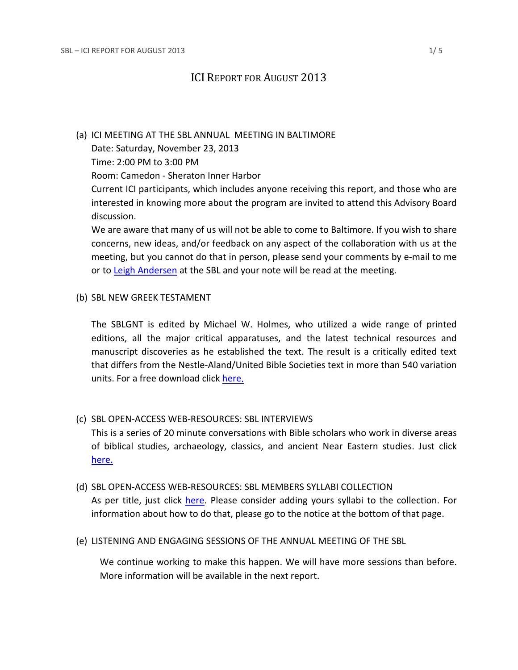## ICI REPORT FOR AUGUST 2013

## (a) ICI MEETING AT THE SBL ANNUAL MEETING IN BALTIMORE

Date: Saturday, November 23, 2013

Time: 2:00 PM to 3:00 PM

Room: Camedon - Sheraton Inner Harbor

Current ICI participants, which includes anyone receiving this report, and those who are interested in knowing more about the program are invited to attend this Advisory Board discussion.

We are aware that many of us will not be able to come to Baltimore. If you wish to share concerns, new ideas, and/or feedback on any aspect of the collaboration with us at the meeting, but you cannot do that in person, please send your comments by e-mail to me or to [Leigh Andersen](mailto:leigh.andersen@sbl-site.org) at the SBL and your note will be read at the meeting.

## (b) SBL NEW GREEK TESTAMENT

The SBLGNT is edited by Michael W. Holmes, who utilized a wide range of printed editions, all the major critical apparatuses, and the latest technical resources and manuscript discoveries as he established the text. The result is a critically edited text that differs from the Nestle-Aland/United Bible Societies text in more than 540 variation units. For a free download clic[k here.](http://sblgnt.com/)

## (c) SBL OPEN-ACCESS WEB-RESOURCES: SBL INTERVIEWS

This is a series of 20 minute conversations with Bible scholars who work in diverse areas of biblical studies, archaeology, classics, and ancient Near Eastern studies. Just click [here.](http://www.sbl-site.org/membership/SBLinterviews.aspx)

## (d) SBL OPEN-ACCESS WEB-RESOURCES: SBL MEMBERS SYLLABI COLLECTION As per title, just click [here.](http://www.sbl-site.org/educational/Syllabii.aspx) Please consider adding yours syllabi to the collection. For information about how to do that, please go to the notice at the bottom of that page.

(e) LISTENING AND ENGAGING SESSIONS OF THE ANNUAL MEETING OF THE SBL

We continue working to make this happen. We will have more sessions than before. More information will be available in the next report.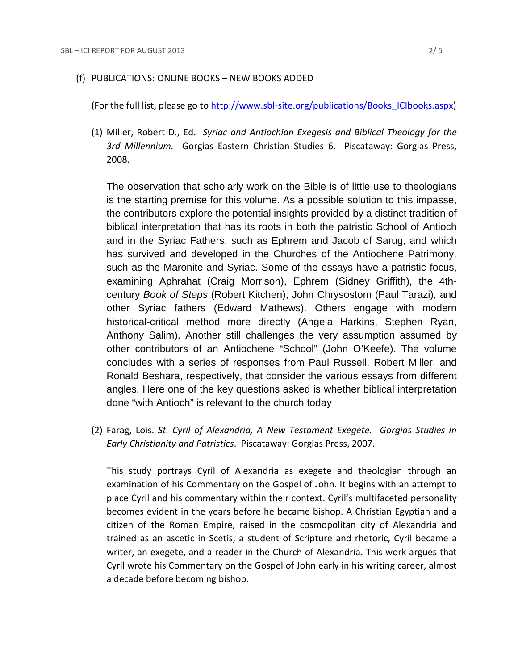(For the full list, please go to [http://www.sbl-site.org/publications/Books\\_ICIbooks.aspx\)](http://www.sbl-site.org/publications/Books_ICIbooks.aspx)

(1) Miller, Robert D., Ed. *Syriac and Antiochian Exegesis and Biblical Theology for the 3rd Millennium.* Gorgias Eastern Christian Studies 6. Piscataway: Gorgias Press, 2008.

The observation that scholarly work on the Bible is of little use to theologians is the starting premise for this volume. As a possible solution to this impasse, the contributors explore the potential insights provided by a distinct tradition of biblical interpretation that has its roots in both the patristic School of Antioch and in the Syriac Fathers, such as Ephrem and Jacob of Sarug, and which has survived and developed in the Churches of the Antiochene Patrimony, such as the Maronite and Syriac. Some of the essays have a patristic focus, examining Aphrahat (Craig Morrison), Ephrem (Sidney Griffith), the 4thcentury *Book of Steps* (Robert Kitchen), John Chrysostom (Paul Tarazi), and other Syriac fathers (Edward Mathews). Others engage with modern historical-critical method more directly (Angela Harkins, Stephen Ryan, Anthony Salim). Another still challenges the very assumption assumed by other contributors of an Antiochene "School" (John O'Keefe). The volume concludes with a series of responses from Paul Russell, Robert Miller, and Ronald Beshara, respectively, that consider the various essays from different angles. Here one of the key questions asked is whether biblical interpretation done "with Antioch" is relevant to the church today

(2) Farag, Lois. *St. Cyril of Alexandria, A New Testament Exegete. Gorgias Studies in Early Christianity and Patristics*. Piscataway: Gorgias Press, 2007.

This study portrays Cyril of Alexandria as exegete and theologian through an examination of his Commentary on the Gospel of John. It begins with an attempt to place Cyril and his commentary within their context. Cyril's multifaceted personality becomes evident in the years before he became bishop. A Christian Egyptian and a citizen of the Roman Empire, raised in the cosmopolitan city of Alexandria and trained as an ascetic in Scetis, a student of Scripture and rhetoric, Cyril became a writer, an exegete, and a reader in the Church of Alexandria. This work argues that Cyril wrote his Commentary on the Gospel of John early in his writing career, almost a decade before becoming bishop.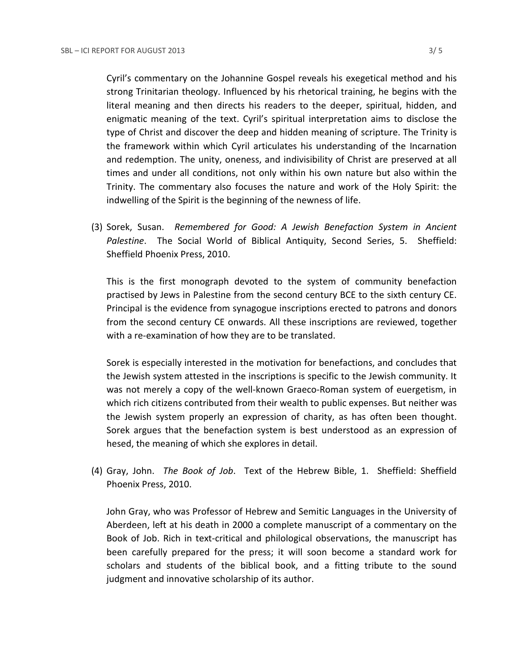Cyril's commentary on the Johannine Gospel reveals his exegetical method and his strong Trinitarian theology. Influenced by his rhetorical training, he begins with the literal meaning and then directs his readers to the deeper, spiritual, hidden, and enigmatic meaning of the text. Cyril's spiritual interpretation aims to disclose the type of Christ and discover the deep and hidden meaning of scripture. The Trinity is the framework within which Cyril articulates his understanding of the Incarnation and redemption. The unity, oneness, and indivisibility of Christ are preserved at all times and under all conditions, not only within his own nature but also within the Trinity. The commentary also focuses the nature and work of the Holy Spirit: the indwelling of the Spirit is the beginning of the newness of life.

(3) Sorek, Susan. *Remembered for Good: A Jewish Benefaction System in Ancient Palestine*. The Social World of Biblical Antiquity, Second Series, 5. Sheffield: Sheffield Phoenix Press, 2010.

This is the first monograph devoted to the system of community benefaction practised by Jews in Palestine from the second century BCE to the sixth century CE. Principal is the evidence from synagogue inscriptions erected to patrons and donors from the second century CE onwards. All these inscriptions are reviewed, together with a re-examination of how they are to be translated.

Sorek is especially interested in the motivation for benefactions, and concludes that the Jewish system attested in the inscriptions is specific to the Jewish community. It was not merely a copy of the well-known Graeco-Roman system of euergetism, in which rich citizens contributed from their wealth to public expenses. But neither was the Jewish system properly an expression of charity, as has often been thought. Sorek argues that the benefaction system is best understood as an expression of hesed, the meaning of which she explores in detail.

(4) Gray, John. *The Book of Job*. Text of the Hebrew Bible, 1. Sheffield: Sheffield Phoenix Press, 2010.

John Gray, who was Professor of Hebrew and Semitic Languages in the University of Aberdeen, left at his death in 2000 a complete manuscript of a commentary on the Book of Job. Rich in text-critical and philological observations, the manuscript has been carefully prepared for the press; it will soon become a standard work for scholars and students of the biblical book, and a fitting tribute to the sound judgment and innovative scholarship of its author.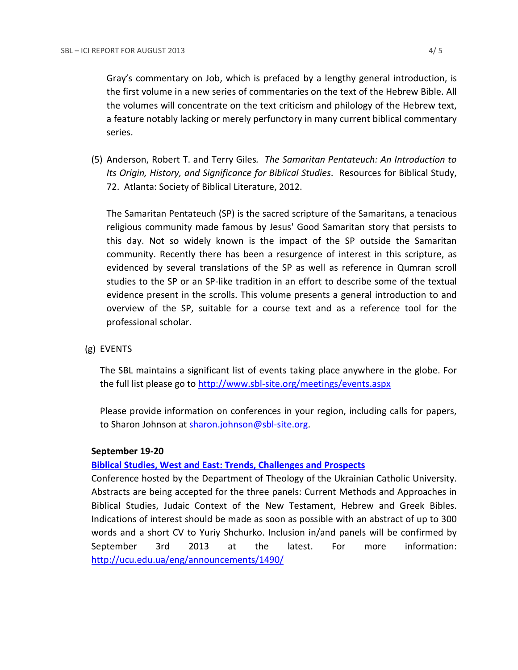Gray's commentary on Job, which is prefaced by a lengthy general introduction, is the first volume in a new series of commentaries on the text of the Hebrew Bible. All the volumes will concentrate on the text criticism and philology of the Hebrew text, a feature notably lacking or merely perfunctory in many current biblical commentary series.

(5) Anderson, Robert T. and Terry Giles*. The Samaritan Pentateuch: An Introduction to Its Origin, History, and Significance for Biblical Studies*. Resources for Biblical Study, 72. Atlanta: Society of Biblical Literature, 2012.

The Samaritan Pentateuch (SP) is the sacred scripture of the Samaritans, a tenacious religious community made famous by Jesus' Good Samaritan story that persists to this day. Not so widely known is the impact of the SP outside the Samaritan community. Recently there has been a resurgence of interest in this scripture, as evidenced by several translations of the SP as well as reference in Qumran scroll studies to the SP or an SP-like tradition in an effort to describe some of the textual evidence present in the scrolls. This volume presents a general introduction to and overview of the SP, suitable for a course text and as a reference tool for the professional scholar.

(g) EVENTS

The SBL maintains a significant list of events taking place anywhere in the globe. For the full list please go to<http://www.sbl-site.org/meetings/events.aspx>

Please provide information on conferences in your region, including calls for papers, to Sharon Johnson at [sharon.johnson@sbl-site.org.](mailto:sharon.johnson@sbl-site.org)

#### **September 19-20**

### **[Biblical Studies, West and East: Trends, Challenges and Prospects](http://theologia.ucu.edu.ua/en/component/content/article/275-international-biblical-conference-biblical-studies-west-and-east-trends-challenges-and-prospects)**

Conference hosted by the Department of Theology of the Ukrainian Catholic University. Abstracts are being accepted for the three panels: Current Methods and Approaches in Biblical Studies, Judaic Context of the New Testament, Hebrew and Greek Bibles. Indications of interest should be made as soon as possible with an abstract of up to 300 words and a short CV to Yuriy Shchurko. Inclusion in/and panels will be confirmed by September 3rd 2013 at the latest. For more information: <http://ucu.edu.ua/eng/announcements/1490/>